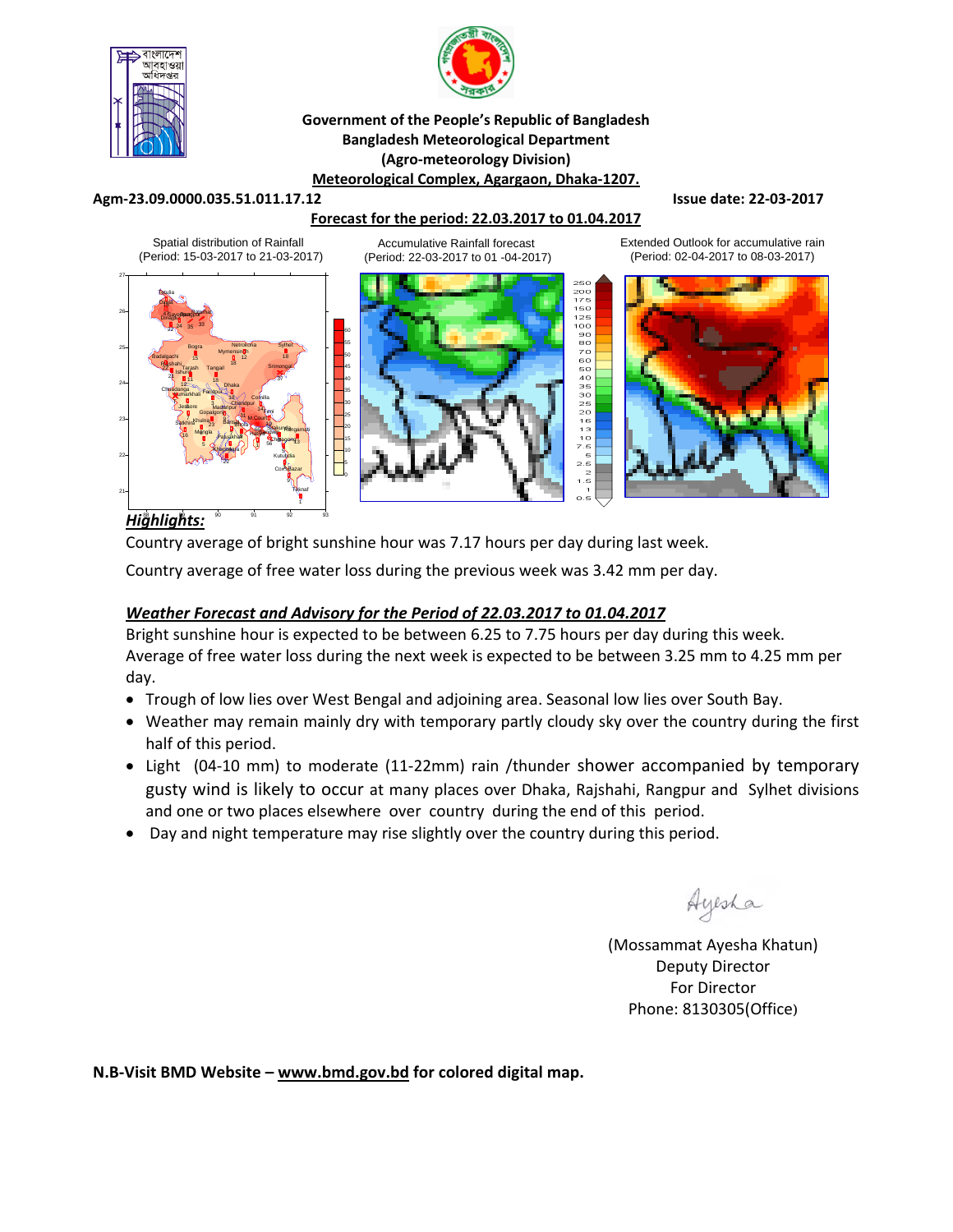

27



#### **Government of the People's Republic of Bangladesh Bangladesh Meteorological Department (Agro‐meteorology Division) Meteorological Complex, Agargaon, Dhaka‐1207.**

#### **Agm‐23.09.0000.035.51.011.17.12 Issue date: 22‐03‐2017**

## **Forecast for the period: 22.03.2017 to 01.04.2017**

Spatial distribution of Rainfall (Period: 15-03-2017 to 21-03-2017)

Accumulative Rainfall forecast (Period: 22-03-2017 to 01 -04-2017)





Extended Outlook for accumulative rain (Period: 02-04-2017 to 08-03-2017)



## *Highlights:* 88 89 90 91 92 93

Country average of bright sunshine hour was 7.17 hours per day during last week.

Country average of free water loss during the previous week was 3.42 mm per day.

## *Weather Forecast and Advisory for the Period of 22.03.2017 to 01.04.2017*

Bright sunshine hour is expected to be between 6.25 to 7.75 hours per day during this week. Average of free water loss during the next week is expected to be between 3.25 mm to 4.25 mm per day.

- Trough of low lies over West Bengal and adjoining area. Seasonal low lies over South Bay.
- Weather may remain mainly dry with temporary partly cloudy sky over the country during the first half of this period.
- Light (04-10 mm) to moderate (11-22mm) rain /thunder shower accompanied by temporary gusty wind is likely to occur at many places over Dhaka, Rajshahi, Rangpur and Sylhet divisions and one or two places elsewhere over country during the end of this period.
- Day and night temperature may rise slightly over the country during this period.

Ayesha

(Mossammat Ayesha Khatun) Deputy Director For Director Phone: 8130305(Office)

**N.B‐Visit BMD Website – www.bmd.gov.bd for colored digital map.**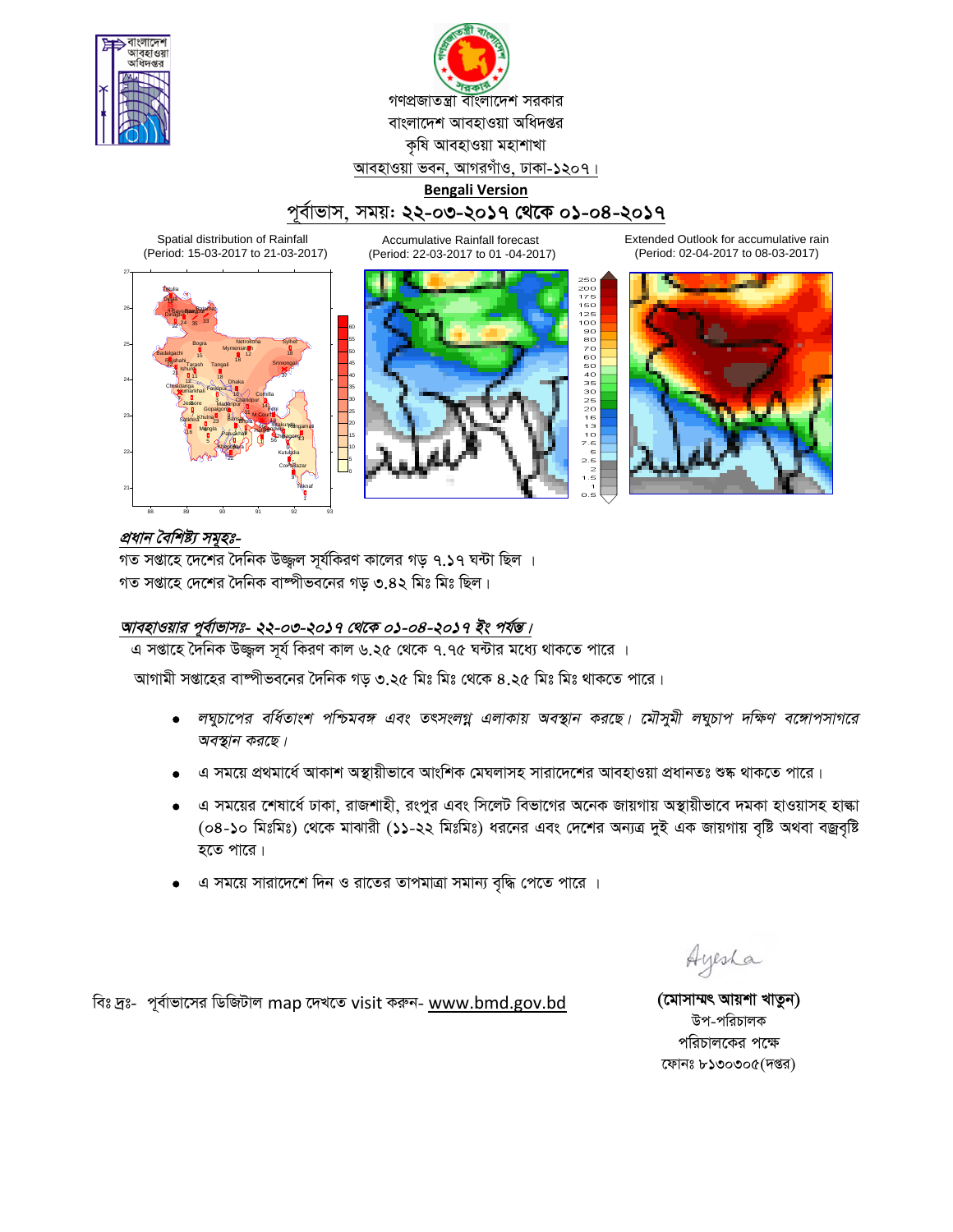



# পূৰ্বাভাস, সময়: **২২-০৩-২০১৭ থেকে ০১-০৪-২০১৭**

Accumulative Rainfall forecast

Spatial distribution of Rainfall (Period: 15-03-2017 to 21-03-2017)



(Period: 22-03-2017 to 01 -04-2017)

250<br>200<br>175<br>150<br>100 125<br>100

908070605040350

Extended Outlook for accumulative rain (Period: 02-04-2017 to 08-03-2017)



# প্ৰধান বৈশিষ্ট্য সমূহঃ-

গত সপ্তাহে দেশের দৈনিক উজ্জল সূর্যকিরণ কালের গড় ৭.১৭ ঘন্টা ছিল । গত সপ্তাহে দেশের দৈনিক বাষ্পীভবনের গড় ৩.৪২ মিঃ মিঃ ছিল।

## <u> আবহাওয়ার পূর্বাভাসঃ- ২২-০৩-২০১৭ থেকে ০১-০৪-২০১৭ ইং পর্যন্ত।</u>

এ সপ্তাহে দৈনিক উজ্জল সূর্য কিরণ কাল ৬.২৫ থেকে ৭.৭৫ ঘন্টার মধ্যে থাকতে পারে ।

আগামী সপ্তাহের বাষ্পীভবনের দৈনিক গড ৩.২৫ মিঃ মিঃ থেকে ৪.২৫ মিঃ মিঃ থাকতে পারে।

- *লঘুচাপের বর্ধিতাংশ পশ্চিমবঙ্গ এবং তৎসংলগ্ন এলাকায় অবস্থান করছে। মৌসুমী লঘুচাপ দক্ষিণ বঙ্গোপসাগরে* অবস্থান করছে।
- 'এ সময়ে প্রথমার্ধে আকাশ অস্থায়ীভাবে আংশিক মেঘলাসহ সারাদেশের আবহাওয়া প্রধানতঃ শুষ্ক থাকতে পারে।
- এ সময়ের শেষার্ধে ঢাকা, রাজশাহী, রংপুর এবং সিলেট বিভাগের অনেক জায়গায় অস্থায়ীভাবে দমকা হাওয়াসহ হান্ধা (০৪-১০ মিঃমিঃ) থেকে মাঝারী (১১-২২ মিঃমিঃ) ধরনের এবং দেশের অন্যত্র দুই এক জায়গায় বৃষ্টি অথবা বজ্রবৃষ্টি হতে পারে।
- এ সময়ে সারাদেশে দিন ও রাতের তাপমাত্রা সমান্য বৃদ্ধি পেতে পারে ।

Ayesha

উপ-পরিচালক পরিচালকের পক্ষে ফোনঃ  $b$ ১৩০৩০ $\alpha$ (দপ্তর)

বিঃ দ্রঃ- পূর্বাভাসের ডিজিটাল map দেখতে visit করুন- www.bmd.gov.bd **(মোসাম্মৎ আয়শা খাতুন)**